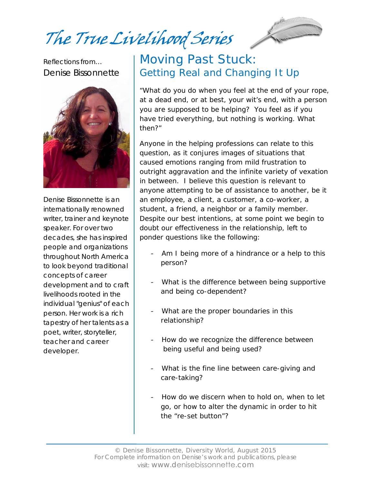The True Livelihood Series



Reflections from… Denise Bissonnette



Denise Bissonnette is an internationally renowned writer, trainer and keynote speaker. For over two decades, she has inspired people and organizations throughout North America to look beyond traditional concepts of career development and to craft livelihoods rooted in the individual "genius" of each person. Her work is a rich tapestry of her talents as a poet, writer, storyteller, teacher and career developer.

## Moving Past Stuck: Getting Real and Changing It Up

"*What do you do when you feel at the end of your rope, at a dead end, or at best, your wit's end, with a person you are supposed to be helping? You feel as if you have tried everything, but nothing is working. What then*?"

Anyone in the helping professions can relate to this question, as it conjures images of situations that caused emotions ranging from mild frustration to outright aggravation and the infinite variety of vexation in between. I believe this question is relevant to anyone attempting to be of assistance to another, be it an employee, a client, a customer, a co-worker, a student, a friend, a neighbor or a family member. Despite our best intentions, at some point we begin to doubt our effectiveness in the relationship, left to ponder questions like the following:

- Am I being more of a hindrance or a help to this person?
- What is the difference between being supportive and being co-dependent?
- What are the proper boundaries in this relationship?
- How do we recognize the difference between being useful and being used?
- What is the fine line between care-giving and care-taking?
- How do we discern when to hold on, when to let go, or how to alter the dynamic in order to hit the "re-set button"?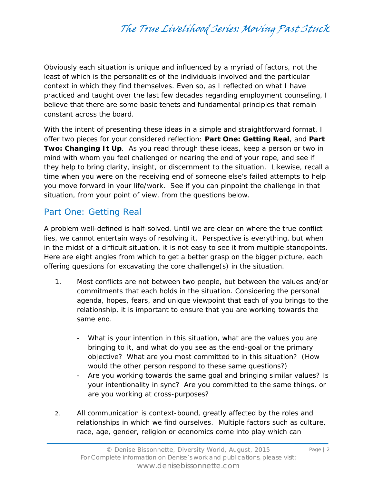Obviously each situation is unique and influenced by a myriad of factors, not the least of which is the personalities of the individuals involved and the particular context in which they find themselves. Even so, as I reflected on what I have practiced and taught over the last few decades regarding employment counseling, I believe that there are some basic tenets and fundamental principles that remain constant across the board.

With the intent of presenting these ideas in a simple and straightforward format, I offer two pieces for your considered reflection: **Part One: Getting Real**, and **Part Two: Changing It Up**. As you read through these ideas, keep a person or two in mind with whom you feel challenged or nearing the end of your rope, and see if they help to bring clarity, insight, or discernment to the situation. Likewise, recall a time when you were on the receiving end of someone else's failed attempts to help you move forward in your life/work. See if you can pinpoint the challenge in that situation, from your point of view, from the questions below.

### Part One: Getting Real

A problem well-defined is half-solved. Until we are clear on where the true conflict lies, we cannot entertain ways of resolving it. Perspective is everything, but when in the midst of a difficult situation, it is not easy to see it from multiple standpoints. Here are eight angles from which to get a better grasp on the bigger picture, each offering questions for excavating the core challenge(s) in the situation.

- 1. Most conflicts are not between two people, but between the values and/or commitments that each holds in the situation. Considering the personal agenda, hopes, fears, and unique viewpoint that each of you brings to the relationship, it is important to ensure that you are working towards the same end.
	- What is your intention in this situation, what are the values you are bringing to it, and what do you see as the end-goal or the primary objective? What are you most committed to in this situation? (How would the other person respond to these same questions?)
	- Are you working towards the same goal and bringing similar values? Is your intentionality in sync? Are you committed to the same things, or are you working at cross-purposes?
- 2. All communication is context-bound, greatly affected by the roles and relationships in which we find ourselves. Multiple factors such as culture, race, age, gender, religion or economics come into play which can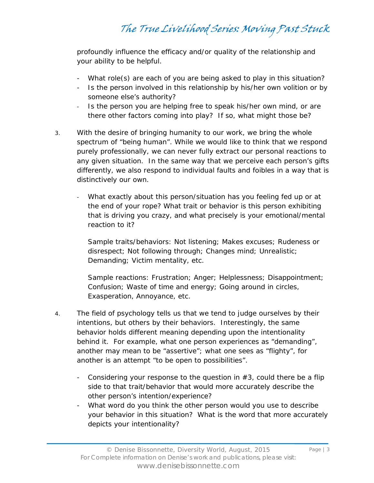profoundly influence the efficacy and/or quality of the relationship and your ability to be helpful.

- What role(s) are each of you are being asked to play in this situation?
- Is the person involved in this relationship by his/her own volition or by someone else's authority?
- Is the person you are helping free to speak his/her own mind, or are there other factors coming into play? If so, what might those be?
- 3. With the desire of bringing humanity to our work, we bring the whole spectrum of "being human". While we would like to think that we respond purely professionally, we can never fully extract our personal reactions to any given situation. In the same way that we perceive each person's gifts differently, we also respond to individual faults and foibles in a way that is distinctively our own.
	- What exactly about this person/situation has you feeling fed up or at the end of your rope? What trait or behavior is this person exhibiting that is driving you crazy, and what precisely is your emotional/mental reaction to it?

*Sample traits/behaviors*: Not listening; Makes excuses; Rudeness or disrespect; Not following through; Changes mind; Unrealistic; Demanding; Victim mentality, etc.

*Sample reactions*: Frustration; Anger; Helplessness; Disappointment; Confusion; Waste of time and energy; Going around in circles, Exasperation, Annoyance, etc.

- 4. The field of psychology tells us that we tend to judge ourselves by their intentions, but others by their behaviors. Interestingly, the same behavior holds different meaning depending upon the intentionality behind it. For example, what one person experiences as "demanding", another may mean to be "assertive"; what one sees as "flighty", for another is an attempt "to be open to possibilities".
	- Considering your response to the question in  $#3$ , could there be a flip side to that trait/behavior that would more accurately describe the other person's intention/experience?
	- What word do you think the other person would you use to describe your behavior in this situation? What is the word that more accurately depicts your intentionality?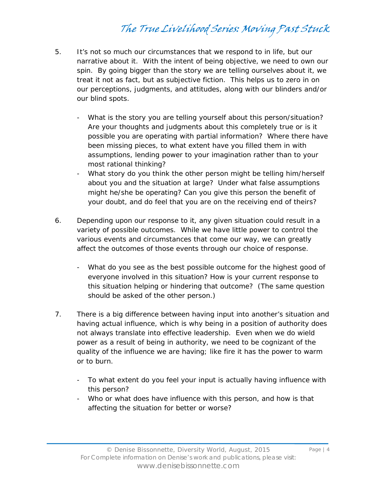- 5. It's not so much our circumstances that we respond to in life, but our narrative about it. With the intent of being objective, we need to own our spin. By going bigger than the story we are telling ourselves about it, we treat it not as fact, but as subjective fiction. This helps us to zero in on our perceptions, judgments, and attitudes, along with our blinders and/or our blind spots.
	- What is the story you are telling yourself about this person/situation? Are your thoughts and judgments about this completely true or is it possible you are operating with partial information? Where there have been missing pieces, to what extent have you filled them in with assumptions, lending power to your imagination rather than to your most rational thinking?
	- What story do you think the other person might be telling him/herself about you and the situation at large? Under what false assumptions might he/she be operating? Can you give this person the benefit of your doubt, and do feel that you are on the receiving end of theirs?
- 6. Depending upon our response to it, any given situation could result in a variety of possible outcomes. While we have little power to control the various events and circumstances that come our way, we can greatly affect the outcomes of those events through our choice of response.
	- What do you see as the best possible outcome for the highest good of everyone involved in this situation? How is your current response to this situation helping or hindering that outcome? (The same question should be asked of the other person.)
- 7. There is a big difference between having *input* into another's situation and having actual *influence*, which is why being in a position of authority does not always translate into effective leadership. Even when we do wield power as a result of being in authority, we need to be cognizant of the quality of the influence we are having; like fire it has the power to warm or to burn.
	- To what extent do you feel your input is actually having *influence* with this person?
	- Who or what does have influence with this person, and how is that affecting the situation for better or worse?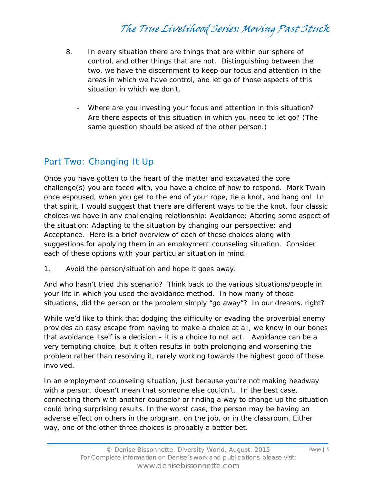- 8. In every situation there are things that are within our sphere of control, and other things that are not. Distinguishing between the two, we have the discernment to keep our focus and attention in the areas in which we have control, and let go of those aspects of this situation in which we don't.
	- Where are you investing your focus and attention in this situation? Are there aspects of this situation in which you need to let go? (The same question should be asked of the other person.)

### Part Two: Changing It Up

Once you have gotten to the heart of the matter and excavated the core challenge(s) you are faced with, you have a choice of how to respond. Mark Twain once espoused, when you get to the end of your rope, tie a knot, and hang on! In that spirit, I would suggest that there are different ways to tie the knot, four classic choices we have in any challenging relationship: Avoidance; Altering some aspect of the situation; Adapting to the situation by changing our perspective; and Acceptance. Here is a brief overview of each of these choices along with suggestions for applying them in an employment counseling situation. Consider each of these options with your particular situation in mind.

1. Avoid the person/situation and hope it goes away.

And who hasn't tried this scenario? Think back to the various situations/people in your life in which you used the avoidance method. In how many of those situations, did the person or the problem simply "go away"? In our dreams, right?

While we'd like to think that dodging the difficulty or evading the proverbial enemy provides an easy escape from having to make a choice at all, we know in our bones that avoidance itself is a decision – it is a choice to not act. Avoidance can be a very tempting choice, but it often results in both prolonging and worsening the problem rather than resolving it, rarely working towards the highest good of those involved.

In an employment counseling situation, just because you're not making headway with a person, doesn't mean that someone else couldn't. In the best case, connecting them with another counselor or finding a way to change up the situation could bring surprising results. In the worst case, the person may be having an adverse effect on others in the program, on the job, or in the classroom. Either way, one of the other three choices is probably a better bet.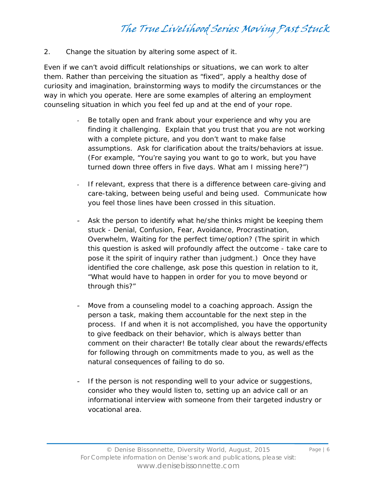2. Change the situation by altering some aspect of it.

Even if we can't avoid difficult relationships or situations, we can work to alter them. Rather than perceiving the situation as "fixed", apply a healthy dose of curiosity and imagination, brainstorming ways to modify the circumstances or the way in which you operate. Here are some examples of altering an employment counseling situation in which you feel fed up and at the end of your rope.

- Be totally open and frank about your experience and why you are finding it challenging. Explain that you trust that you are not working with a complete picture, and you don't want to make false assumptions. Ask for clarification about the traits/behaviors at issue. (For example, "You're saying you want to go to work, but you have turned down three offers in five days. What am I missing here?")
- If relevant, express that there is a difference between care-giving and care-taking, between being useful and being used. Communicate how you feel those lines have been crossed in this situation.
- Ask the person to identify what he/she thinks might be keeping them stuck - Denial, Confusion, Fear, Avoidance, Procrastination, Overwhelm, Waiting for the perfect time/option? (The spirit in which this question is asked will profoundly affect the outcome - take care to pose it the spirit of inquiry rather than judgment.) Once they have identified the core challenge, ask pose this question in relation to it, "What would have to happen in order for you to move beyond or through this?"
- Move from a counseling model to a coaching approach. Assign the person a task, making them accountable for the next step in the process. If and when it is not accomplished, you have the opportunity to give feedback on their behavior, which is always better than comment on their character! Be totally clear about the rewards/effects for following through on commitments made to you, as well as the natural consequences of failing to do so.
- If the person is not responding well to your advice or suggestions, consider who they would listen to, setting up an advice call or an informational interview with someone from their targeted industry or vocational area.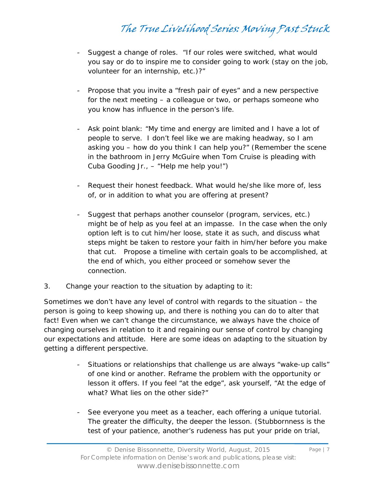- Suggest a change of roles. "If our roles were switched, what would you say or do to inspire me to consider going to work (stay on the job, volunteer for an internship, etc.)?"
- Propose that you invite a "fresh pair of eyes" and a new perspective for the next meeting – a colleague or two, or perhaps someone who you know has influence in the person's life.
- Ask point blank: "My time and energy are limited and I have a lot of people to serve. I don't feel like we are making headway, so I am asking you – how do you think I can help you?" (Remember the scene in the bathroom in Jerry McGuire when Tom Cruise is pleading with Cuba Gooding Jr., – "Help me help you!")
- Request their honest feedback. What would he/she like more of, less of, or in addition to what you are offering at present?
- Suggest that perhaps another counselor (program, services, etc.) might be of help as you feel at an impasse. In the case when the only option left is to cut him/her loose, state it as such, and discuss what steps might be taken to restore your faith in him/her before you make that cut. Propose a timeline with certain goals to be accomplished, at the end of which, you either proceed or somehow sever the connection.
- 3. Change your reaction to the situation by adapting to it:

Sometimes we don't have any level of control with regards to the situation – the person is going to keep showing up, and there is nothing you can do to alter that fact! Even when we can't change the circumstance, we always have the choice of changing ourselves in relation to it and regaining our sense of control by changing our expectations and attitude. Here are some ideas on adapting to the situation by getting a different perspective.

- Situations or relationships that challenge us are always "wake-up calls" of one kind or another. Reframe the problem with the opportunity or lesson it offers. If you feel "at the edge", ask yourself, "At the edge of what? What lies on the other side?"
- See everyone you meet as a teacher, each offering a unique tutorial. The greater the difficulty, the deeper the lesson. (Stubbornness is the test of your patience, another's rudeness has put your pride on trial,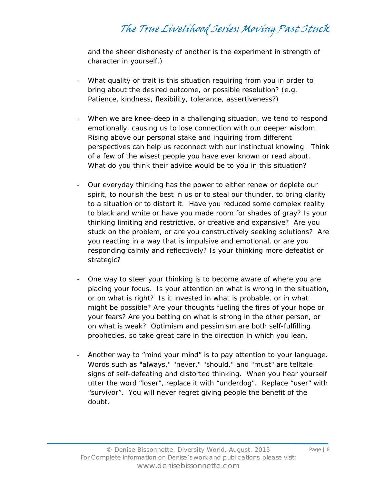and the sheer dishonesty of another is the experiment in strength of character in yourself.)

- What quality or trait is this situation requiring from you in order to bring about the desired outcome, or possible resolution? (e.g. Patience, kindness, flexibility, tolerance, assertiveness?)
- When we are knee-deep in a challenging situation, we tend to respond emotionally, causing us to lose connection with our deeper wisdom. Rising above our personal stake and inquiring from different perspectives can help us reconnect with our instinctual knowing. Think of a few of the wisest people you have ever known or read about. What do you think their advice would be to you in this situation?
- Our everyday thinking has the power to either renew or deplete our spirit, to nourish the best in us or to steal our thunder, to bring clarity to a situation or to distort it. Have you reduced some complex reality to black and white or have you made room for shades of gray? Is your thinking limiting and restrictive, or creative and expansive? Are you stuck on the problem, or are you constructively seeking solutions? Are you reacting in a way that is impulsive and emotional, or are you responding calmly and reflectively? Is your thinking more defeatist or strategic?
- One way to steer your thinking is to become aware of where you are placing your focus. Is your attention on what is wrong in the situation, or on what is right? Is it invested in what is probable, or in what might be possible? Are your thoughts fueling the fires of your hope or your fears? Are you betting on what is strong in the other person, or on what is weak? Optimism and pessimism are both self-fulfilling prophecies, so take great care in the direction in which you lean.
- Another way to "mind your mind" is to pay attention to your language. Words such as "always," "never," "should," and "must" are telltale signs of self-defeating and distorted thinking. When you hear yourself utter the word "loser", replace it with "underdog". Replace "user" with "survivor". You will never regret giving people the benefit of the doubt.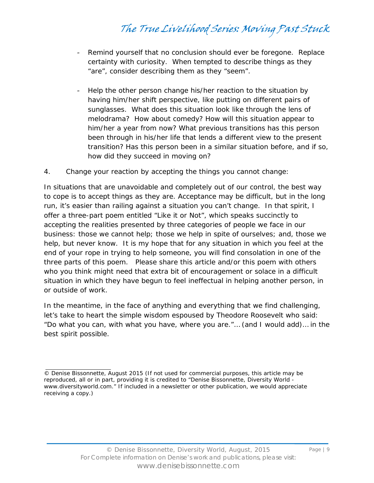- Remind yourself that no conclusion should ever be foregone. Replace certainty with curiosity. When tempted to describe things as they "are", consider describing them as they "seem".
- Help the other person change his/her reaction to the situation by having him/her shift perspective, like putting on different pairs of sunglasses. What does this situation look like through the lens of melodrama? How about comedy? How will this situation appear to him/her a year from now? What previous transitions has this person been through in his/her life that lends a different view to the present transition? Has this person been in a similar situation before, and if so, how did they succeed in moving on?
- 4. Change your reaction by accepting the things you cannot change:

In situations that are unavoidable and completely out of our control, the best way to cope is to accept things as they are. Acceptance may be difficult, but in the long run, it's easier than railing against a situation you can't change. In that spirit, I offer a three-part poem entitled "Like it or Not", which speaks succinctly to accepting the realities presented by three categories of people we face in our business: those we cannot help; those we help in spite of ourselves; and, those we help, but never know. It is my hope that for any situation in which you feel at the end of your rope in trying to help someone, you will find consolation in one of the three parts of this poem. Please share this article and/or this poem with others who you think might need that extra bit of encouragement or solace in a difficult situation in which they have begun to feel ineffectual in helping another person, in or outside of work.

In the meantime, in the face of anything and everything that we find challenging, let's take to heart the simple wisdom espoused by Theodore Roosevelt who said: "Do what you can, with what you have, where you are."… (and I would add)… in the best spirit possible.

<sup>©</sup> Denise Bissonnette, August 2015 (If not used for commercial purposes, this article may be reproduced, all or in part, providing it is credited to "Denise Bissonnette, Diversity World www.diversityworld.com." If included in a newsletter or other publication, we would appreciate receiving a copy.)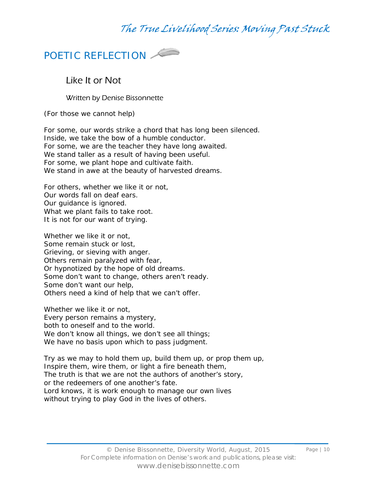

### Like It or Not

Written by Denise Bissonnette

*(For those we cannot help)*

For some, our words strike a chord that has long been silenced. Inside, we take the bow of a humble conductor. For some, we are the teacher they have long awaited. We stand taller as a result of having been useful. For some, we plant hope and cultivate faith. We stand in awe at the beauty of harvested dreams.

For others, whether we like it or not, Our words fall on deaf ears. Our guidance is ignored. What we plant fails to take root. It is not for our want of trying.

Whether we like it or not, Some remain stuck or lost, Grieving, or sieving with anger. Others remain paralyzed with fear, Or hypnotized by the hope of old dreams. Some don't want to change, others aren't ready. Some don't want our help, Others need a kind of help that we can't offer.

Whether we like it or not, Every person remains a mystery, both to oneself and to the world. We don't know all things, we don't see all things; We have no basis upon which to pass judgment.

Try as we may to hold them up, build them up, or prop them up, Inspire them, wire them, or light a fire beneath them, The truth is that we are not the authors of another's story, or the redeemers of one another's fate. Lord knows, it is work enough to manage our own lives without trying to play God in the lives of others.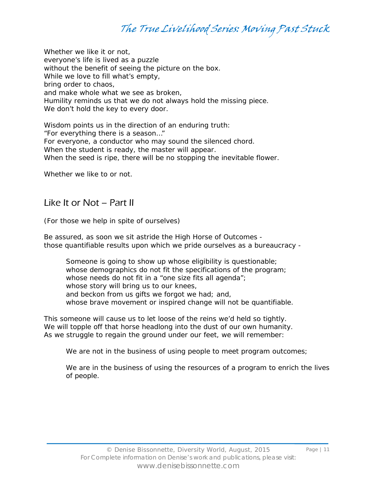Whether we like it or not, everyone's life is lived as a puzzle without the benefit of seeing the picture on the box. While we love to fill what's empty, bring order to chaos, and make whole what we see as broken, Humility reminds us that we do not always hold the missing piece. We don't hold the key to every door.

Wisdom points us in the direction of an enduring truth: "For everything there is a season…" For everyone, a conductor who may sound the silenced chord. When the student is ready, the master will appear. When the seed is ripe, there will be no stopping the inevitable flower.

Whether we like to or not.

#### Like It or Not – Part II

#### *(For those we help in spite of ourselves)*

Be assured, as soon we sit astride the High Horse of Outcomes those quantifiable results upon which we pride ourselves as a bureaucracy -

Someone is going to show up whose eligibility is questionable; whose demographics do not fit the specifications of the program; whose needs do not fit in a "one size fits all agenda"; whose story will bring us to our knees, and beckon from us gifts we forgot we had; and, whose brave movement or inspired change will not be quantifiable.

This someone will cause us to let loose of the reins we'd held so tightly. We will topple off that horse headlong into the dust of our own humanity. As we struggle to regain the ground under our feet, we will remember:

*We are not in the business of using people to meet program outcomes;* 

*We are in the business of using the resources of a program to enrich the lives of people.*